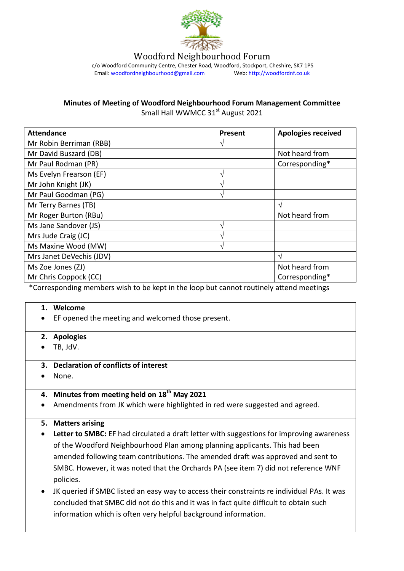

Woodford Neighbourhood Forum

c/o Woodford Community Centre, Chester Road, Woodford, Stockport, Cheshire, SK7 1PS<br>Email: woodfordneighbourhood@gmail.com Web: http://woodfordnf.co.uk Email: woodfordneighbourhood@gmail.com

**Minutes of Meeting of Woodford Neighbourhood Forum Management Committee**

Small Hall WWMCC 31<sup>st</sup> August 2021

| <b>Attendance</b>          | <b>Present</b> | <b>Apologies received</b> |
|----------------------------|----------------|---------------------------|
| Mr Robin Berriman (RBB)    | ٦              |                           |
| Mr David Buszard (DB)      |                | Not heard from            |
| Mr Paul Rodman (PR)        |                | Corresponding*            |
| Ms Evelyn Frearson (EF)    | V              |                           |
| Mr John Knight (JK)        | ٦              |                           |
| Mr Paul Goodman (PG)       | ٦              |                           |
| Mr Terry Barnes (TB)       |                | $\mathbf \Lambda$         |
| Mr Roger Burton (RBu)      |                | Not heard from            |
| Ms Jane Sandover (JS)      | N              |                           |
| Mrs Jude Craig (JC)        | ٦              |                           |
| Ms Maxine Wood (MW)        | ٦              |                           |
| Mrs Janet DeVechis (JDV)   |                |                           |
| Ms Zoe Jones (ZJ)          |                | Not heard from            |
| Mr Chris Coppock (CC)<br>. |                | Corresponding*            |

\*Corresponding members wish to be kept in the loop but cannot routinely attend meetings

#### **1. Welcome**

- EF opened the meeting and welcomed those present.
- **2. Apologies**
- $\bullet$  TB, JdV.
- **3. Declaration of conflicts of interest**
- None.

# **4. Minutes from meeting held on 18th May 2021**

Amendments from JK which were highlighted in red were suggested and agreed.

#### **5. Matters arising**

- **Letter to SMBC:** EF had circulated a draft letter with suggestions for improving awareness of the Woodford Neighbourhood Plan among planning applicants. This had been amended following team contributions. The amended draft was approved and sent to SMBC. However, it was noted that the Orchards PA (see item 7) did not reference WNF policies.
- JK queried if SMBC listed an easy way to access their constraints re individual PAs. It was concluded that SMBC did not do this and it was in fact quite difficult to obtain such information which is often very helpful background information.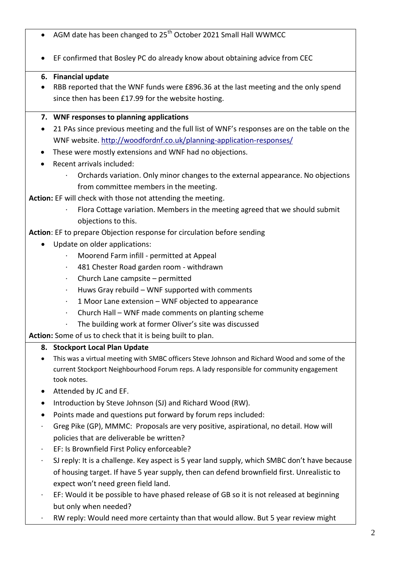- $\bullet$  AGM date has been changed to 25<sup>th</sup> October 2021 Small Hall WWMCC
- EF confirmed that Bosley PC do already know about obtaining advice from CEC

# **6. Financial update**

 RBB reported that the WNF funds were £896.36 at the last meeting and the only spend since then has been £17.99 for the website hosting.

### **7. WNF responses to planning applications**

- 21 PAs since previous meeting and the full list of WNF's responses are on the table on the WNF website. <http://woodfordnf.co.uk/planning-application-responses/>
- These were mostly extensions and WNF had no objections.
- Recent arrivals included:
	- · Orchards variation. Only minor changes to the external appearance. No objections from committee members in the meeting.

**Action:** EF will check with those not attending the meeting.

· Flora Cottage variation. Members in the meeting agreed that we should submit objections to this.

**Action**: EF to prepare Objection response for circulation before sending

- Update on older applications:
	- · Moorend Farm infill permitted at Appeal
	- · 481 Chester Road garden room withdrawn
	- · Church Lane campsite permitted
	- Huws Gray rebuild WNF supported with comments
	- · 1 Moor Lane extension WNF objected to appearance
	- · Church Hall WNF made comments on planting scheme
	- · The building work at former Oliver's site was discussed

**Action:** Some of us to check that it is being built to plan.

# **8. Stockport Local Plan Update**

- This was a virtual meeting with SMBC officers Steve Johnson and Richard Wood and some of the current Stockport Neighbourhood Forum reps. A lady responsible for community engagement took notes.
- Attended by JC and EF.
- Introduction by Steve Johnson (SJ) and Richard Wood (RW).
- Points made and questions put forward by forum reps included:
- · Greg Pike (GP), MMMC: Proposals are very positive, aspirational, no detail. How will policies that are deliverable be written?
- · EF: Is Brownfield First Policy enforceable?
- SJ reply: It is a challenge. Key aspect is 5 year land supply, which SMBC don't have because of housing target. If have 5 year supply, then can defend brownfield first. Unrealistic to expect won't need green field land.
- · EF: Would it be possible to have phased release of GB so it is not released at beginning but only when needed?
- · RW reply: Would need more certainty than that would allow. But 5 year review might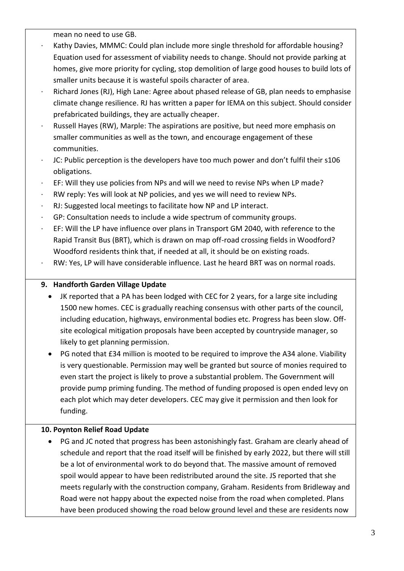mean no need to use GB.

- Kathy Davies, MMMC: Could plan include more single threshold for affordable housing? Equation used for assessment of viability needs to change. Should not provide parking at homes, give more priority for cycling, stop demolition of large good houses to build lots of smaller units because it is wasteful spoils character of area.
- · Richard Jones (RJ), High Lane: Agree about phased release of GB, plan needs to emphasise climate change resilience. RJ has written a paper for IEMA on this subject. Should consider prefabricated buildings, they are actually cheaper.
- Russell Hayes (RW), Marple: The aspirations are positive, but need more emphasis on smaller communities as well as the town, and encourage engagement of these communities.
- · JC: Public perception is the developers have too much power and don't fulfil their s106 obligations.
- · EF: Will they use policies from NPs and will we need to revise NPs when LP made?
- · RW reply: Yes will look at NP policies, and yes we will need to review NPs.
- RJ: Suggested local meetings to facilitate how NP and LP interact.
- · GP: Consultation needs to include a wide spectrum of community groups.
- EF: Will the LP have influence over plans in Transport GM 2040, with reference to the Rapid Transit Bus (BRT), which is drawn on map off-road crossing fields in Woodford? Woodford residents think that, if needed at all, it should be on existing roads.
- RW: Yes, LP will have considerable influence. Last he heard BRT was on normal roads.

# **9. Handforth Garden Village Update**

- JK reported that a PA has been lodged with CEC for 2 years, for a large site including 1500 new homes. CEC is gradually reaching consensus with other parts of the council, including education, highways, environmental bodies etc. Progress has been slow. Offsite ecological mitigation proposals have been accepted by countryside manager, so likely to get planning permission.
- PG noted that £34 million is mooted to be required to improve the A34 alone. Viability is very questionable. Permission may well be granted but source of monies required to even start the project is likely to prove a substantial problem. The Government will provide pump priming funding. The method of funding proposed is open ended levy on each plot which may deter developers. CEC may give it permission and then look for funding.

# **10. Poynton Relief Road Update**

 PG and JC noted that progress has been astonishingly fast. Graham are clearly ahead of schedule and report that the road itself will be finished by early 2022, but there will still be a lot of environmental work to do beyond that. The massive amount of removed spoil would appear to have been redistributed around the site. JS reported that she meets regularly with the construction company, Graham. Residents from Bridleway and Road were not happy about the expected noise from the road when completed. Plans have been produced showing the road below ground level and these are residents now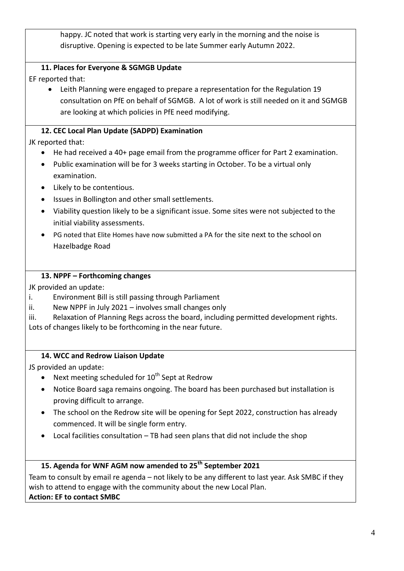happy. JC noted that work is starting very early in the morning and the noise is disruptive. Opening is expected to be late Summer early Autumn 2022.

# **11. Places for Everyone & SGMGB Update**

EF reported that:

 Leith Planning were engaged to prepare a representation for the Regulation 19 consultation on PfE on behalf of SGMGB. A lot of work is still needed on it and SGMGB are looking at which policies in PfE need modifying.

### **12. CEC Local Plan Update (SADPD) Examination**

JK reported that:

- He had received a 40+ page email from the programme officer for Part 2 examination.
- Public examination will be for 3 weeks starting in October. To be a virtual only examination.
- Likely to be contentious.
- Issues in Bollington and other small settlements.
- Viability question likely to be a significant issue. Some sites were not subjected to the initial viability assessments.
- PG noted that Elite Homes have now submitted a PA for the site next to the school on Hazelbadge Road

#### **13. NPPF – Forthcoming changes**

JK provided an update:

- i. Environment Bill is still passing through Parliament
- ii. New NPPF in July 2021 involves small changes only
- iii. Relaxation of Planning Regs across the board, including permitted development rights. Lots of changes likely to be forthcoming in the near future.

#### **14. WCC and Redrow Liaison Update**

JS provided an update:

- Next meeting scheduled for  $10^{th}$  Sept at Redrow
- Notice Board saga remains ongoing. The board has been purchased but installation is proving difficult to arrange.
- The school on the Redrow site will be opening for Sept 2022, construction has already commenced. It will be single form entry.
- Local facilities consultation TB had seen plans that did not include the shop

# **15. Agenda for WNF AGM now amended to 25th September 2021**

Team to consult by email re agenda – not likely to be any different to last year. Ask SMBC if they wish to attend to engage with the community about the new Local Plan. **Action: EF to contact SMBC**